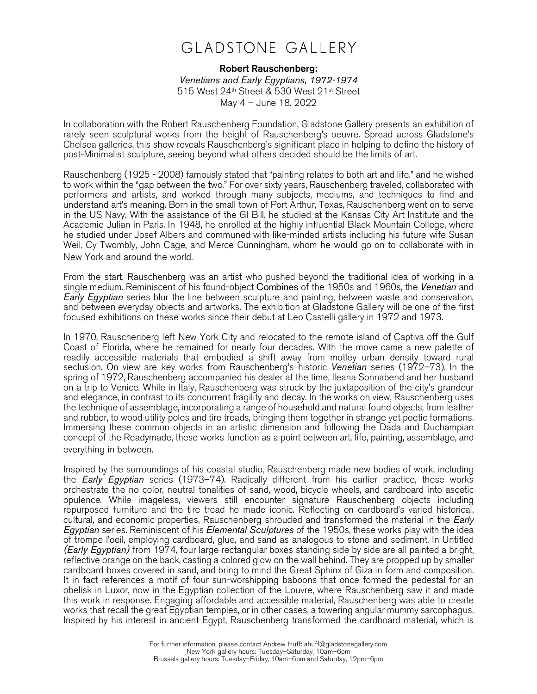## **GLADSTONE GALLERY**

## Robert Rauschenberg:

*Venetians and Early Egyptians, 1972-1974*  515 West 24th Street & 530 West 21st Street May 4 – June 18, 2022

In collaboration with the Robert Rauschenberg Foundation, Gladstone Gallery presents an exhibition of rarely seen sculptural works from the height of Rauschenberg's oeuvre. Spread across Gladstone's Chelsea galleries, this show reveals Rauschenberg's significant place in helping to define the history of post-Minimalist sculpture, seeing beyond what others decided should be the limits of art.

Rauschenberg (1925 - 2008) famously stated that "painting relates to both art and life," and he wished to work within the "gap between the two." For over sixty years, Rauschenberg traveled, collaborated with performers and artists, and worked through many subjects, mediums, and techniques to find and understand art's meaning. Born in the small town of Port Arthur, Texas, Rauschenberg went on to serve in the US Navy. With the assistance of the GI Bill, he studied at the Kansas City Art Institute and the Academie Julian in Paris. In 1948, he enrolled at the highly influential Black Mountain College, where he studied under Josef Albers and communed with like-minded artists including his future wife Susan Weil, Cy Twombly, John Cage, and Merce Cunningham, whom he would go on to collaborate with in New York and around the world.

From the start, Rauschenberg was an artist who pushed beyond the traditional idea of working in a single medium. Reminiscent of his found-object Combines of the 1950s and 1960s, the *Venetian* and *Early Egyptian* series blur the line between sculpture and painting, between waste and conservation, and between everyday objects and artworks. The exhibition at Gladstone Gallery will be one of the first focused exhibitions on these works since their debut at Leo Castelli gallery in 1972 and 1973.

In 1970, Rauschenberg left New York City and relocated to the remote island of Captiva off the Gulf Coast of Florida, where he remained for nearly four decades. With the move came a new palette of readily accessible materials that embodied a shift away from motley urban density toward rural seclusion. On view are key works from Rauschenberg's historic *Venetian* series (1972–73). In the spring of 1972, Rauschenberg accompanied his dealer at the time, Ileana Sonnabend and her husband on a trip to Venice. While in Italy, Rauschenberg was struck by the juxtaposition of the city's grandeur and elegance, in contrast to its concurrent fragility and decay. In the works on view, Rauschenberg uses the technique of assemblage, incorporating a range of household and natural found objects, from leather and rubber, to wood utility poles and tire treads, bringing them together in strange yet poetic formations. Immersing these common objects in an artistic dimension and following the Dada and Duchampian concept of the Readymade, these works function as a point between art, life, painting, assemblage, and everything in between.

Inspired by the surroundings of his coastal studio, Rauschenberg made new bodies of work, including the *Early Egyptian* series (1973–74). Radically different from his earlier practice, these works orchestrate the no color, neutral tonalities of sand, wood, bicycle wheels, and cardboard into ascetic opulence. While imageless, viewers still encounter signature Rauschenberg objects including repurposed furniture and the tire tread he made iconic. Reflecting on cardboard's varied historical, cultural, and economic properties, Rauschenberg shrouded and transformed the material in the *Early Egyptian* series. Reminiscent of his *Elemental Sculptures* of the 1950s, these works play with the idea of trompe l'oeil, employing cardboard, glue, and sand as analogous to stone and sediment. In Untitled *(Early Egyptian)* from 1974, four large rectangular boxes standing side by side are all painted a bright, reflective orange on the back, casting a colored glow on the wall behind. They are propped up by smaller cardboard boxes covered in sand, and bring to mind the Great Sphinx of Giza in form and composition. It in fact references a motif of four sun-worshipping baboons that once formed the pedestal for an obelisk in Luxor, now in the Egyptian collection of the Louvre, where Rauschenberg saw it and made this work in response. Engaging affordable and accessible material, Rauschenberg was able to create works that recall the great Egyptian temples, or in other cases, a towering angular mummy sarcophagus. Inspired by his interest in ancient Egypt, Rauschenberg transformed the cardboard material, which is